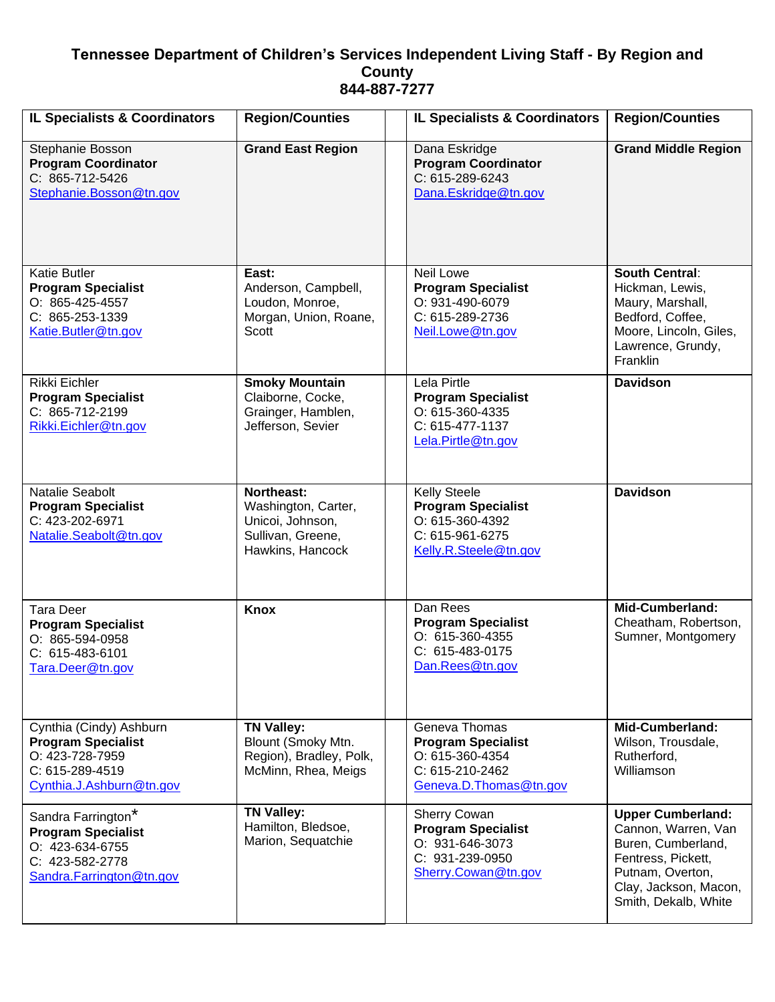## **Tennessee Department of Children's Services Independent Living Staff - By Region and County 844-887-7277**

| <b>IL Specialists &amp; Coordinators</b>                                                                               | <b>Region/Counties</b>                                                                         | <b>IL Specialists &amp; Coordinators</b>                                                                        | <b>Region/Counties</b>                                                                                                                                           |
|------------------------------------------------------------------------------------------------------------------------|------------------------------------------------------------------------------------------------|-----------------------------------------------------------------------------------------------------------------|------------------------------------------------------------------------------------------------------------------------------------------------------------------|
| Stephanie Bosson<br><b>Program Coordinator</b><br>C: 865-712-5426<br>Stephanie.Bosson@tn.gov                           | <b>Grand East Region</b>                                                                       | Dana Eskridge<br><b>Program Coordinator</b><br>C: 615-289-6243<br>Dana.Eskridge@tn.gov                          | <b>Grand Middle Region</b>                                                                                                                                       |
| <b>Katie Butler</b><br><b>Program Specialist</b><br>O: 865-425-4557<br>C: 865-253-1339<br>Katie.Butler@tn.gov          | East:<br>Anderson, Campbell,<br>Loudon, Monroe,<br>Morgan, Union, Roane,<br>Scott              | Neil Lowe<br><b>Program Specialist</b><br>O: 931-490-6079<br>C: 615-289-2736<br>Neil.Lowe@tn.gov                | <b>South Central:</b><br>Hickman, Lewis,<br>Maury, Marshall,<br>Bedford, Coffee,<br>Moore, Lincoln, Giles,<br>Lawrence, Grundy,<br>Franklin                      |
| Rikki Eichler<br><b>Program Specialist</b><br>C: 865-712-2199<br>Rikki.Eichler@tn.gov                                  | <b>Smoky Mountain</b><br>Claiborne, Cocke,<br>Grainger, Hamblen,<br>Jefferson, Sevier          | Lela Pirtle<br><b>Program Specialist</b><br>O: 615-360-4335<br>C: 615-477-1137<br>Lela.Pirtle@tn.gov            | <b>Davidson</b>                                                                                                                                                  |
| Natalie Seabolt<br><b>Program Specialist</b><br>C: 423-202-6971<br>Natalie.Seabolt@tn.gov                              | Northeast:<br>Washington, Carter,<br>Unicoi, Johnson,<br>Sullivan, Greene,<br>Hawkins, Hancock | <b>Kelly Steele</b><br><b>Program Specialist</b><br>O: 615-360-4392<br>C: 615-961-6275<br>Kelly.R.Steele@tn.gov | <b>Davidson</b>                                                                                                                                                  |
| <b>Tara Deer</b><br><b>Program Specialist</b><br>O: 865-594-0958<br>C: 615-483-6101<br>Tara.Deer@tn.gov                | <b>Knox</b>                                                                                    | Dan Rees<br><b>Program Specialist</b><br>O: 615-360-4355<br>C: 615-483-0175<br>Dan.Rees@tn.gov                  | <b>Mid-Cumberland:</b><br>Cheatham, Robertson,<br>Sumner, Montgomery                                                                                             |
| Cynthia (Cindy) Ashburn<br><b>Program Specialist</b><br>O: 423-728-7959<br>C: 615-289-4519<br>Cynthia.J.Ashburn@tn.gov | <b>TN Valley:</b><br>Blount (Smoky Mtn.<br>Region), Bradley, Polk,<br>McMinn, Rhea, Meigs      | Geneva Thomas<br><b>Program Specialist</b><br>O: 615-360-4354<br>C: 615-210-2462<br>Geneva.D.Thomas@tn.gov      | <b>Mid-Cumberland:</b><br>Wilson, Trousdale,<br>Rutherford,<br>Williamson                                                                                        |
| Sandra Farrington*<br><b>Program Specialist</b><br>O: 423-634-6755<br>C: 423-582-2778<br>Sandra.Farrington@tn.gov      | <b>TN Valley:</b><br>Hamilton, Bledsoe,<br>Marion, Sequatchie                                  | <b>Sherry Cowan</b><br><b>Program Specialist</b><br>O: 931-646-3073<br>C: 931-239-0950<br>Sherry.Cowan@tn.gov   | <b>Upper Cumberland:</b><br>Cannon, Warren, Van<br>Buren, Cumberland,<br>Fentress, Pickett,<br>Putnam, Overton,<br>Clay, Jackson, Macon,<br>Smith, Dekalb, White |